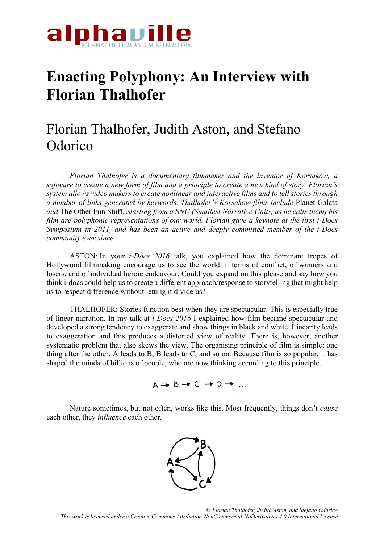

## **Enacting Polyphony: An Interview with Florian Thalhofer**

## Florian Thalhofer, Judith Aston, and Stefano **Odorico**

*Florian Thalhofer is a documentary filmmaker and the inventor of Korsakow, a software to create a new form of film and a principle to create a new kind of story. Florian's system allows video makers to create nonlinear and interactive films and to tell stories through a number of links generated by keywords. Thalhofer's Korsakow films include* Planet Galata *and* The Other Fun Stuff*. Starting from a SNU (Smallest Narrative Units, as he calls them) his film are polyphonic representations of our world. Florian gave a keynote at the first i-Docs Symposium in 2011, and has been an active and deeply committed member of the i-Docs community ever since.* 

ASTON: In your *i-Docs 2016* talk, you explained how the dominant tropes of Hollywood filmmaking encourage us to see the world in terms of conflict, of winners and losers, and of individual heroic endeavour. Could you expand on this please and say how you think i-docs could help us to create a different approach/response to storytelling that might help us to respect difference without letting it divide us?

THALHOFER: Stories function best when they are spectacular. This is especially true of linear narration. In my talk at *i-Docs 2016* I explained how film became spectacular and developed a strong tendency to exaggerate and show things in black and white. Linearity leads to exaggeration and this produces a distorted view of reality. There is, however, another systematic problem that also skews the view. The organising principle of film is simple: one thing after the other. A leads to B, B leads to C, and so on. Because film is so popular, it has shaped the minds of billions of people, who are now thinking according to this principle.



Nature sometimes, but not often, works like this. Most frequently, things don't *cause* each other, they *influence* each other.

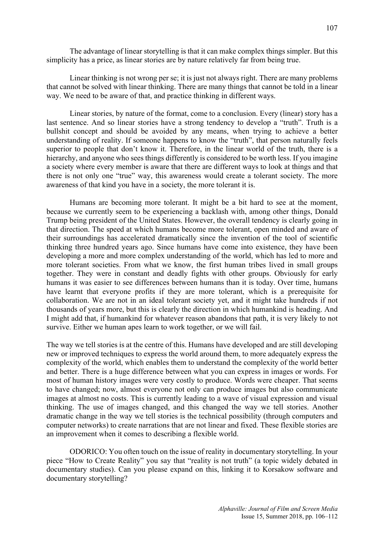The advantage of linear storytelling is that it can make complex things simpler. But this simplicity has a price, as linear stories are by nature relatively far from being true.

Linear thinking is not wrong per se; it is just not always right. There are many problems that cannot be solved with linear thinking. There are many things that cannot be told in a linear way. We need to be aware of that, and practice thinking in different ways.

Linear stories, by nature of the format, come to a conclusion. Every (linear) story has a last sentence. And so linear stories have a strong tendency to develop a "truth". Truth is a bullshit concept and should be avoided by any means, when trying to achieve a better understanding of reality. If someone happens to know the "truth", that person naturally feels superior to people that don't know it. Therefore, in the linear world of the truth, there is a hierarchy, and anyone who sees things differently is considered to be worth less. If you imagine a society where every member is aware that there are different ways to look at things and that there is not only one "true" way, this awareness would create a tolerant society. The more awareness of that kind you have in a society, the more tolerant it is.

Humans are becoming more tolerant. It might be a bit hard to see at the moment, because we currently seem to be experiencing a backlash with, among other things, Donald Trump being president of the United States. However, the overall tendency is clearly going in that direction. The speed at which humans become more tolerant, open minded and aware of their surroundings has accelerated dramatically since the invention of the tool of scientific thinking three hundred years ago. Since humans have come into existence, they have been developing a more and more complex understanding of the world, which has led to more and more tolerant societies. From what we know, the first human tribes lived in small groups together. They were in constant and deadly fights with other groups. Obviously for early humans it was easier to see differences between humans than it is today. Over time, humans have learnt that everyone profits if they are more tolerant, which is a prerequisite for collaboration. We are not in an ideal tolerant society yet, and it might take hundreds if not thousands of years more, but this is clearly the direction in which humankind is heading. And I might add that, if humankind for whatever reason abandons that path, it is very likely to not survive. Either we human apes learn to work together, or we will fail.

The way we tell stories is at the centre of this. Humans have developed and are still developing new or improved techniques to express the world around them, to more adequately express the complexity of the world, which enables them to understand the complexity of the world better and better. There is a huge difference between what you can express in images or words. For most of human history images were very costly to produce. Words were cheaper. That seems to have changed; now, almost everyone not only can produce images but also communicate images at almost no costs. This is currently leading to a wave of visual expression and visual thinking. The use of images changed, and this changed the way we tell stories. Another dramatic change in the way we tell stories is the technical possibility (through computers and computer networks) to create narrations that are not linear and fixed. These flexible stories are an improvement when it comes to describing a flexible world.

ODORICO: You often touch on the issue of reality in documentary storytelling. In your piece "How to Create Reality" you say that "reality is not truth" (a topic widely debated in documentary studies). Can you please expand on this, linking it to Korsakow software and documentary storytelling?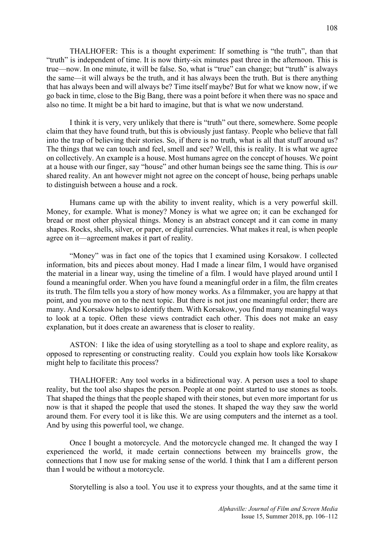THALHOFER: This is a thought experiment: If something is "the truth", than that "truth" is independent of time. It is now thirty-six minutes past three in the afternoon. This is true—now. In one minute, it will be false. So, what is "true" can change; but "truth" is always the same—it will always be the truth, and it has always been the truth. But is there anything that has always been and will always be? Time itself maybe? But for what we know now, if we go back in time, close to the Big Bang, there was a point before it when there was no space and also no time. It might be a bit hard to imagine, but that is what we now understand.

I think it is very, very unlikely that there is "truth" out there, somewhere. Some people claim that they have found truth, but this is obviously just fantasy. People who believe that fall into the trap of believing their stories. So, if there is no truth, what is all that stuff around us? The things that we can touch and feel, smell and see? Well, this is reality. It is what we agree on collectively. An example is a house. Most humans agree on the concept of houses. We point at a house with our finger, say "house" and other human beings see the same thing. This is *our* shared reality. An ant however might not agree on the concept of house, being perhaps unable to distinguish between a house and a rock.

Humans came up with the ability to invent reality, which is a very powerful skill. Money, for example. What is money? Money is what we agree on; it can be exchanged for bread or most other physical things. Money is an abstract concept and it can come in many shapes. Rocks, shells, silver, or paper, or digital currencies. What makes it real, is when people agree on it—agreement makes it part of reality.

"Money" was in fact one of the topics that I examined using Korsakow. I collected information, bits and pieces about money. Had I made a linear film, I would have organised the material in a linear way, using the timeline of a film. I would have played around until I found a meaningful order. When you have found a meaningful order in a film, the film creates its truth. The film tells you a story of how money works. As a filmmaker, you are happy at that point, and you move on to the next topic. But there is not just one meaningful order; there are many. And Korsakow helps to identify them. With Korsakow, you find many meaningful ways to look at a topic. Often these views contradict each other. This does not make an easy explanation, but it does create an awareness that is closer to reality.

ASTON: I like the idea of using storytelling as a tool to shape and explore reality, as opposed to representing or constructing reality. Could you explain how tools like Korsakow might help to facilitate this process?

THALHOFER: Any tool works in a bidirectional way. A person uses a tool to shape reality, but the tool also shapes the person. People at one point started to use stones as tools. That shaped the things that the people shaped with their stones, but even more important for us now is that it shaped the people that used the stones. It shaped the way they saw the world around them. For every tool it is like this. We are using computers and the internet as a tool. And by using this powerful tool, we change.

Once I bought a motorcycle. And the motorcycle changed me. It changed the way I experienced the world, it made certain connections between my braincells grow, the connections that I now use for making sense of the world. I think that I am a different person than I would be without a motorcycle.

Storytelling is also a tool. You use it to express your thoughts, and at the same time it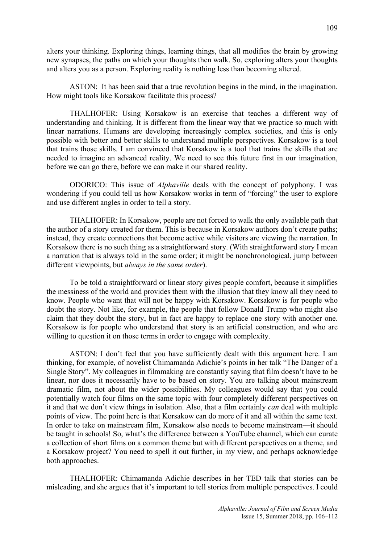alters your thinking. Exploring things, learning things, that all modifies the brain by growing new synapses, the paths on which your thoughts then walk. So, exploring alters your thoughts and alters you as a person. Exploring reality is nothing less than becoming altered.

ASTON: It has been said that a true revolution begins in the mind, in the imagination. How might tools like Korsakow facilitate this process?

THALHOFER: Using Korsakow is an exercise that teaches a different way of understanding and thinking. It is different from the linear way that we practice so much with linear narrations. Humans are developing increasingly complex societies, and this is only possible with better and better skills to understand multiple perspectives. Korsakow is a tool that trains those skills. I am convinced that Korsakow is a tool that trains the skills that are needed to imagine an advanced reality. We need to see this future first in our imagination, before we can go there, before we can make it our shared reality.

ODORICO: This issue of *Alphaville* deals with the concept of polyphony. I was wondering if you could tell us how Korsakow works in term of "forcing" the user to explore and use different angles in order to tell a story.

THALHOFER: In Korsakow, people are not forced to walk the only available path that the author of a story created for them. This is because in Korsakow authors don't create paths; instead, they create connections that become active while visitors are viewing the narration. In Korsakow there is no such thing as a straightforward story. (With straightforward story I mean a narration that is always told in the same order; it might be nonchronological, jump between different viewpoints, but *always in the same order*).

To be told a straightforward or linear story gives people comfort, because it simplifies the messiness of the world and provides them with the illusion that they know all they need to know. People who want that will not be happy with Korsakow. Korsakow is for people who doubt the story. Not like, for example, the people that follow Donald Trump who might also claim that they doubt the story, but in fact are happy to replace one story with another one. Korsakow is for people who understand that story is an artificial construction, and who are willing to question it on those terms in order to engage with complexity.

ASTON: I don't feel that you have sufficiently dealt with this argument here. I am thinking, for example, of novelist Chimamanda Adichie's points in her talk "The Danger of a Single Story". My colleagues in filmmaking are constantly saying that film doesn't have to be linear, nor does it necessarily have to be based on story. You are talking about mainstream dramatic film, not about the wider possibilities. My colleagues would say that you could potentially watch four films on the same topic with four completely different perspectives on it and that we don't view things in isolation. Also, that a film certainly *can* deal with multiple points of view. The point here is that Korsakow can do more of it and all within the same text. In order to take on mainstream film, Korsakow also needs to become mainstream—it should be taught in schools! So, what's the difference between a YouTube channel, which can curate a collection of short films on a common theme but with different perspectives on a theme, and a Korsakow project? You need to spell it out further, in my view, and perhaps acknowledge both approaches.

THALHOFER: Chimamanda Adichie describes in her TED talk that stories can be misleading, and she argues that it's important to tell stories from multiple perspectives. I could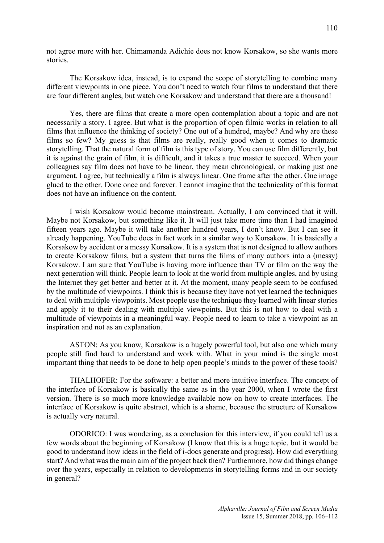not agree more with her. Chimamanda Adichie does not know Korsakow, so she wants more stories.

The Korsakow idea, instead, is to expand the scope of storytelling to combine many different viewpoints in one piece. You don't need to watch four films to understand that there are four different angles, but watch one Korsakow and understand that there are a thousand!

Yes, there are films that create a more open contemplation about a topic and are not necessarily a story. I agree. But what is the proportion of open filmic works in relation to all films that influence the thinking of society? One out of a hundred, maybe? And why are these films so few? My guess is that films are really, really good when it comes to dramatic storytelling. That the natural form of film is this type of story. You can use film differently, but it is against the grain of film, it is difficult, and it takes a true master to succeed. When your colleagues say film does not have to be linear, they mean chronological, or making just one argument. I agree, but technically a film is always linear. One frame after the other. One image glued to the other. Done once and forever. I cannot imagine that the technicality of this format does not have an influence on the content.

I wish Korsakow would become mainstream. Actually, I am convinced that it will. Maybe not Korsakow, but something like it. It will just take more time than I had imagined fifteen years ago. Maybe it will take another hundred years, I don't know. But I can see it already happening. YouTube does in fact work in a similar way to Korsakow. It is basically a Korsakow by accident or a messy Korsakow. It is a system that is not designed to allow authors to create Korsakow films, but a system that turns the films of many authors into a (messy) Korsakow. I am sure that YouTube is having more influence than TV or film on the way the next generation will think. People learn to look at the world from multiple angles, and by using the Internet they get better and better at it. At the moment, many people seem to be confused by the multitude of viewpoints. I think this is because they have not yet learned the techniques to deal with multiple viewpoints. Most people use the technique they learned with linear stories and apply it to their dealing with multiple viewpoints. But this is not how to deal with a multitude of viewpoints in a meaningful way. People need to learn to take a viewpoint as an inspiration and not as an explanation.

ASTON: As you know, Korsakow is a hugely powerful tool, but also one which many people still find hard to understand and work with. What in your mind is the single most important thing that needs to be done to help open people's minds to the power of these tools?

THALHOFER: For the software: a better and more intuitive interface. The concept of the interface of Korsakow is basically the same as in the year 2000, when I wrote the first version. There is so much more knowledge available now on how to create interfaces. The interface of Korsakow is quite abstract, which is a shame, because the structure of Korsakow is actually very natural.

ODORICO: I was wondering, as a conclusion for this interview, if you could tell us a few words about the beginning of Korsakow (I know that this is a huge topic, but it would be good to understand how ideas in the field of i-docs generate and progress). How did everything start? And what was the main aim of the project back then? Furthermore, how did things change over the years, especially in relation to developments in storytelling forms and in our society in general?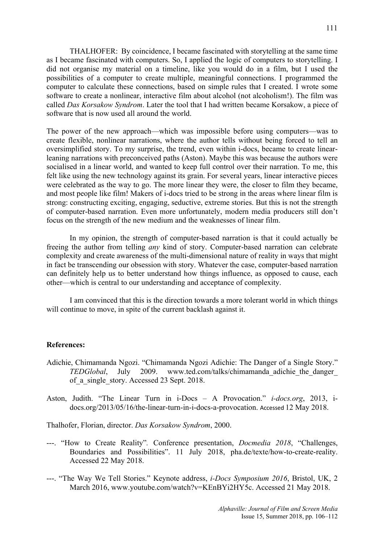THALHOFER: By coincidence, I became fascinated with storytelling at the same time as I became fascinated with computers. So, I applied the logic of computers to storytelling. I

did not organise my material on a timeline, like you would do in a film, but I used the possibilities of a computer to create multiple, meaningful connections. I programmed the computer to calculate these connections, based on simple rules that I created. I wrote some software to create a nonlinear, interactive film about alcohol (not alcoholism!). The film was called *Das Korsakow Syndrom*. Later the tool that I had written became Korsakow, a piece of software that is now used all around the world.

The power of the new approach—which was impossible before using computers—was to create flexible, nonlinear narrations, where the author tells without being forced to tell an oversimplified story. To my surprise, the trend, even within i-docs, became to create linearleaning narrations with preconceived paths (Aston). Maybe this was because the authors were socialised in a linear world, and wanted to keep full control over their narration. To me, this felt like using the new technology against its grain. For several years, linear interactive pieces were celebrated as the way to go. The more linear they were, the closer to film they became, and most people like film! Makers of i-docs tried to be strong in the areas where linear film is strong: constructing exciting, engaging, seductive, extreme stories. But this is not the strength of computer-based narration. Even more unfortunately, modern media producers still don't focus on the strength of the new medium and the weaknesses of linear film.

In my opinion, the strength of computer-based narration is that it could actually be freeing the author from telling *any* kind of story. Computer-based narration can celebrate complexity and create awareness of the multi-dimensional nature of reality in ways that might in fact be transcending our obsession with story. Whatever the case, computer-based narration can definitely help us to better understand how things influence, as opposed to cause, each other—which is central to our understanding and acceptance of complexity.

I am convinced that this is the direction towards a more tolerant world in which things will continue to move, in spite of the current backlash against it.

## **References:**

- Adichie, Chimamanda Ngozi. "Chimamanda Ngozi Adichie: The Danger of a Single Story." *TEDGlobal*, July 2009. www.ted.com/talks/chimamanda\_adichie\_the\_danger\_ of a single story. Accessed 23 Sept. 2018.
- Aston, Judith. "The Linear Turn in i-Docs A Provocation." *i-docs.org*, 2013, idocs.org/2013/05/16/the-linear-turn-in-i-docs-a-provocation. Accessed 12 May 2018.

Thalhofer, Florian, director. *Das Korsakow Syndrom*, 2000.

- ---. "How to Create Reality"*.* Conference presentation, *Docmedia 2018*, "Challenges, Boundaries and Possibilities". 11 July 2018, pha.de/texte/how-to-create-reality. Accessed 22 May 2018.
- ---. "The Way We Tell Stories." Keynote address, *i-Docs Symposium 2016*, Bristol, UK, 2 March 2016, www.youtube.com/watch?v=KEnBYi2HY5c. Accessed 21 May 2018.